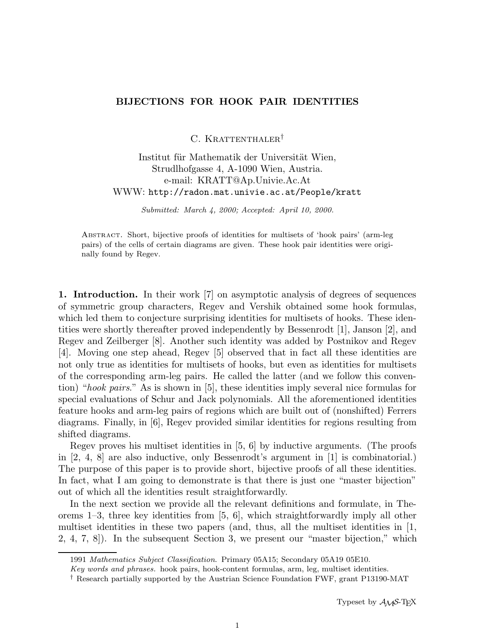## **BIJECTIONS FOR HOOK PAIR IDENTITIES**

C. KRATTENTHALER<sup>†</sup>

Institut für Mathematik der Universität Wien, Strudlhofgasse 4, A-1090 Wien, Austria. e-mail: KRATT@Ap.Univie.Ac.At WWW: http://radon.mat.univie.ac.at/People/kratt

Submitted: March 4, 2000; Accepted: April 10, 2000.

Abstract. Short, bijective proofs of identities for multisets of 'hook pairs' (arm-leg pairs) of the cells of certain diagrams are given. These hook pair identities were originally found by Regev.

**1. Introduction.** In their work [7] on asymptotic analysis of degrees of sequences of symmetric group characters, Regev and Vershik obtained some hook formulas, which led them to conjecture surprising identities for multisets of hooks. These identities were shortly thereafter proved independently by Bessenrodt [1], Janson [2], and Regev and Zeilberger [8]. Another such identity was added by Postnikov and Regev [4]. Moving one step ahead, Regev [5] observed that in fact all these identities are not only true as identities for multisets of hooks, but even as identities for multisets of the corresponding arm-leg pairs. He called the latter (and we follow this convention) "hook pairs." As is shown in [5], these identities imply several nice formulas for special evaluations of Schur and Jack polynomials. All the aforementioned identities feature hooks and arm-leg pairs of regions which are built out of (nonshifted) Ferrers diagrams. Finally, in [6], Regev provided similar identities for regions resulting from shifted diagrams.

Regev proves his multiset identities in [5, 6] by inductive arguments. (The proofs in [2, 4, 8] are also inductive, only Bessenrodt's argument in [1] is combinatorial.) The purpose of this paper is to provide short, bijective proofs of all these identities. In fact, what I am going to demonstrate is that there is just one "master bijection" out of which all the identities result straightforwardly.

In the next section we provide all the relevant definitions and formulate, in Theorems 1–3, three key identities from [5, 6], which straightforwardly imply all other multiset identities in these two papers (and, thus, all the multiset identities in  $[1,$ 2, 4, 7, 8]). In the subsequent Section 3, we present our "master bijection," which

<sup>1991</sup> Mathematics Subject Classification. Primary 05A15; Secondary 05A19 05E10.

Key words and phrases. hook pairs, hook-content formulas, arm, leg, multiset identities.

<sup>†</sup> Research partially supported by the Austrian Science Foundation FWF, grant P13190-MAT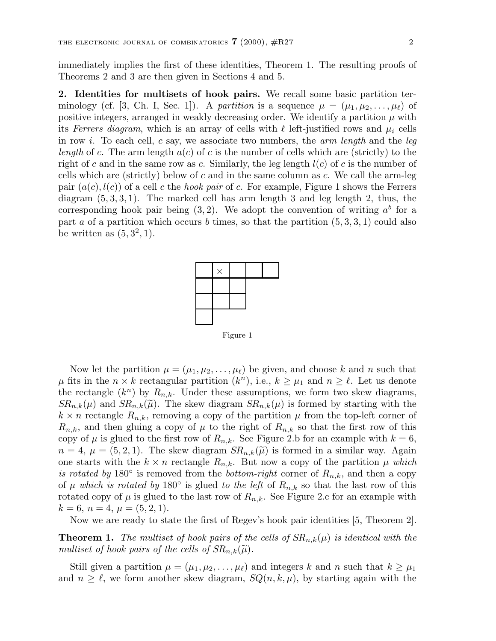immediately implies the first of these identities, Theorem 1. The resulting proofs of Theorems 2 and 3 are then given in Sections 4 and 5.

**2. Identities for multisets of hook pairs.** We recall some basic partition terminology (cf. [3, Ch. I, Sec. 1]). A partition is a sequence  $\mu = (\mu_1, \mu_2, \ldots, \mu_\ell)$  of positive integers, arranged in weakly decreasing order. We identify a partition  $\mu$  with its Ferrers diagram, which is an array of cells with  $\ell$  left-justified rows and  $\mu_i$  cells in row i. To each cell, c say, we associate two numbers, the *arm length* and the *leg* length of c. The arm length  $a(c)$  of c is the number of cells which are (strictly) to the right of c and in the same row as c. Similarly, the leg length  $l(c)$  of c is the number of cells which are (strictly) below of  $c$  and in the same column as  $c$ . We call the arm-leg pair  $(a(c), l(c))$  of a cell c the *hook pair* of c. For example, Figure 1 shows the Ferrers diagram  $(5, 3, 3, 1)$ . The marked cell has arm length 3 and leg length 2, thus, the corresponding hook pair being  $(3, 2)$ . We adopt the convention of writing  $a^b$  for a part a of a partition which occurs b times, so that the partition  $(5, 3, 3, 1)$  could also be written as  $(5, 3^2, 1)$ .



Figure 1

Now let the partition  $\mu = (\mu_1, \mu_2, \dots, \mu_\ell)$  be given, and choose k and n such that  $\mu$  fits in the  $n \times k$  rectangular partition  $(k^n)$ , i.e.,  $k \geq \mu_1$  and  $n \geq \ell$ . Let us denote the rectangle  $(k^n)$  by  $R_{n,k}$ . Under these assumptions, we form two skew diagrams,  $SR_{n,k}(\mu)$  and  $SR_{n,k}(\widetilde{\mu})$ . The skew diagram  $SR_{n,k}(\mu)$  is formed by starting with the  $k \times n$  rectangle  $R_{n,k}$ , removing a copy of the partition  $\mu$  from the top-left corner of  $R_{n,k}$ , and then gluing a copy of  $\mu$  to the right of  $R_{n,k}$  so that the first row of this copy of  $\mu$  is glued to the first row of  $R_{n,k}$ . See Figure 2.b for an example with  $k = 6$ ,  $n = 4, \mu = (5, 2, 1).$  The skew diagram  $SR_{n,k}(\tilde{\mu})$  is formed in a similar way. Again one starts with the  $k \times n$  rectangle  $R_{n,k}$ . But now a copy of the partition  $\mu$  which is rotated by 180 $\degree$  is removed from the bottom-right corner of  $R_{n,k}$ , and then a copy of  $\mu$  which is rotated by 180° is glued to the left of  $R_{n,k}$  so that the last row of this rotated copy of  $\mu$  is glued to the last row of  $R_{n,k}$ . See Figure 2.c for an example with  $k = 6, n = 4, \mu = (5, 2, 1).$ 

Now we are ready to state the first of Regev's hook pair identities [5, Theorem 2].

**Theorem 1.** The multiset of hook pairs of the cells of  $SR_{n,k}(\mu)$  is identical with the multiset of hook pairs of the cells of  $SR_{n,k}(\widetilde{\mu})$ .

Still given a partition  $\mu = (\mu_1, \mu_2, \dots, \mu_\ell)$  and integers k and n such that  $k \geq \mu_1$ and  $n \geq \ell$ , we form another skew diagram,  $SQ(n, k, \mu)$ , by starting again with the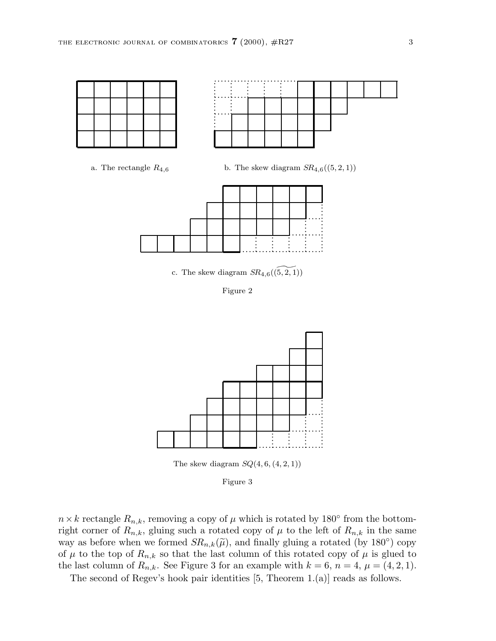



a. The rectangle  $R_{4,6}$  b. The skew diagram  $SR_{4,6}((5, 2, 1))$ 



c. The skew diagram  $SR_{4,6}(\widetilde{(5, 2, 1)})$ 

Figure 2



The skew diagram  $SQ(4, 6, (4, 2, 1))$ 

Figure 3

 $n \times k$  rectangle  $R_{n,k}$ , removing a copy of  $\mu$  which is rotated by 180° from the bottomright corner of  $R_{n,k}$ , gluing such a rotated copy of  $\mu$  to the left of  $R_{n,k}$  in the same way as before when we formed  $SR_{n,k}(\tilde{\mu})$ , and finally gluing a rotated (by 180<sup>°</sup>) copy of  $\mu$  to the top of  $R_{n,k}$  so that the last column of this rotated copy of  $\mu$  is glued to the last column of  $R_{n,k}$ . See Figure 3 for an example with  $k = 6$ ,  $n = 4$ ,  $\mu = (4, 2, 1)$ .

The second of Regev's hook pair identities [5, Theorem 1.(a)] reads as follows.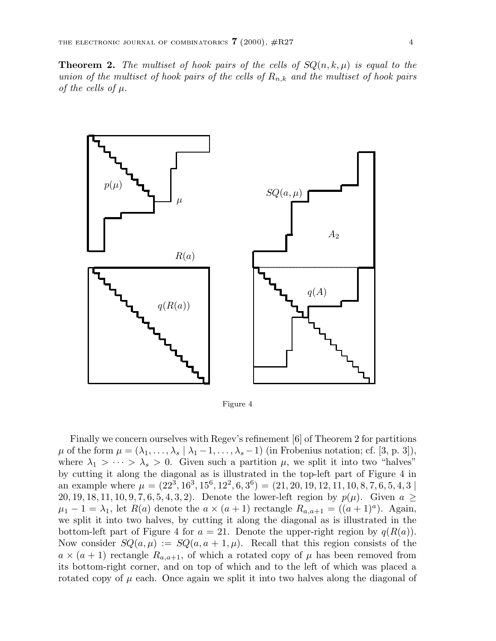**Theorem 2.** The multiset of hook pairs of the cells of  $SQ(n, k, \mu)$  is equal to the union of the multiset of hook pairs of the cells of  $R_{n,k}$  and the multiset of hook pairs of the cells of  $\mu$ .



Figure 4

Finally we concern ourselves with Regev's refinement [6] of Theorem 2 for partitions  $\mu$  of the form  $\mu = (\lambda_1, \ldots, \lambda_s \mid \lambda_1 - 1, \ldots, \lambda_s - 1)$  (in Frobenius notation; cf. [3, p. 3]), where  $\lambda_1 > \cdots > \lambda_s > 0$ . Given such a partition  $\mu$ , we split it into two "halves" by cutting it along the diagonal as is illustrated in the top-left part of Figure 4 in an example where  $\mu = (22^3, 16^3, 15^6, 12^2, 6, 3^6) = (21, 20, 19, 12, 11, 10, 8, 7, 6, 5, 4, 3)$ 20, 19, 18, 11, 10, 9, 7, 6, 5, 4, 3, 2). Denote the lower-left region by  $p(\mu)$ . Given  $a \geq$  $\mu_1 - 1 = \lambda_1$ , let  $R(a)$  denote the  $a \times (a+1)$  rectangle  $R_{a,a+1} = ((a+1)^a)$ . Again, we split it into two halves, by cutting it along the diagonal as is illustrated in the bottom-left part of Figure 4 for  $a = 21$ . Denote the upper-right region by  $q(R(a))$ . Now consider  $SQ(a,\mu) := SQ(a, a+1, \mu)$ . Recall that this region consists of the  $a \times (a+1)$  rectangle  $R_{a,a+1}$ , of which a rotated copy of  $\mu$  has been removed from its bottom-right corner, and on top of which and to the left of which was placed a rotated copy of  $\mu$  each. Once again we split it into two halves along the diagonal of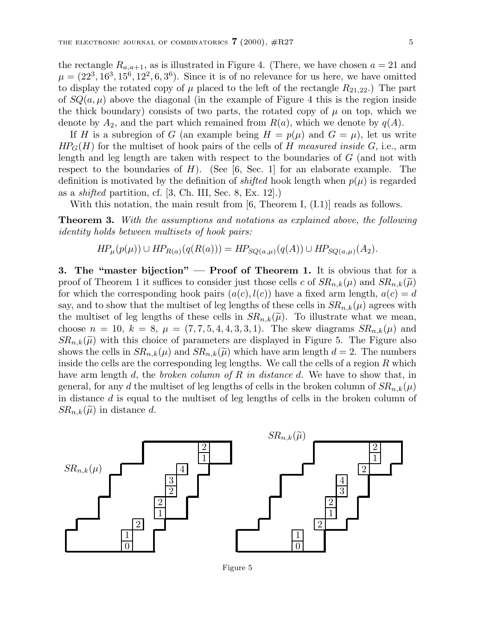the rectangle  $R_{a,a+1}$ , as is illustrated in Figure 4. (There, we have chosen  $a = 21$  and  $\mu = (22^3, 16^3, 15^6, 12^2, 6, 3^6)$ . Since it is of no relevance for us here, we have omitted to display the rotated copy of  $\mu$  placed to the left of the rectangle  $R_{21,22}$ .) The part of  $SQ(a,\mu)$  above the diagonal (in the example of Figure 4 this is the region inside the thick boundary) consists of two parts, the rotated copy of  $\mu$  on top, which we denote by  $A_2$ , and the part which remained from  $R(a)$ , which we denote by  $q(A)$ .

If H is a subregion of G (an example being  $H = p(\mu)$  and  $G = \mu$ ), let us write  $HP_G(H)$  for the multiset of hook pairs of the cells of H measured inside G, i.e., arm length and leg length are taken with respect to the boundaries of G (and not with respect to the boundaries of  $H$ ). (See [6, Sec. 1] for an elaborate example. The definition is motivated by the definition of *shifted* hook length when  $p(\mu)$  is regarded as a shifted partition, cf. [3, Ch. III, Sec. 8, Ex. 12].)

With this notation, the main result from [6, Theorem I,  $(I.1)$ ] reads as follows.

**Theorem 3.** With the assumptions and notations as explained above, the following identity holds between multisets of hook pairs:

$$
HP_{\mu}(p(\mu)) \cup HP_{R(a)}(q(R(a))) = HP_{SQ(a,\mu)}(q(A)) \cup HP_{SQ(a,\mu)}(A_2).
$$

**3. The "master bijection" — Proof of Theorem 1.** It is obvious that for a proof of Theorem 1 it suffices to consider just those cells c of  $SR_{n,k}(\mu)$  and  $SR_{n,k}(\tilde{\mu})$ for which the corresponding hook pairs  $(a(c), l(c))$  have a fixed arm length,  $a(c) = d$ say, and to show that the multiset of leg lengths of these cells in  $SR_{n,k}(\mu)$  agrees with the multiset of leg lengths of these cells in  $SR_{n,k}(\tilde{\mu})$ . To illustrate what we mean, choose  $n = 10, k = 8, \mu = (7, 7, 5, 4, 4, 3, 3, 1)$ . The skew diagrams  $SR_{n,k}(\mu)$  and  $SR_{n,k}(\tilde{\mu})$  with this choice of parameters are displayed in Figure 5. The Figure also shows the cells in  $SR_{n,k}(\mu)$  and  $SR_{n,k}(\widetilde{\mu})$  which have arm length  $d = 2$ . The numbers inside the cells are the corresponding leg lengths. We call the cells of a region  $R$  which have arm length d, the broken column of R in distance d. We have to show that, in general, for any d the multiset of leg lengths of cells in the broken column of  $SR_{n,k}(\mu)$ in distance d is equal to the multiset of leg lengths of cells in the broken column of  $SR_{n,k}(\tilde{\mu})$  in distance d.

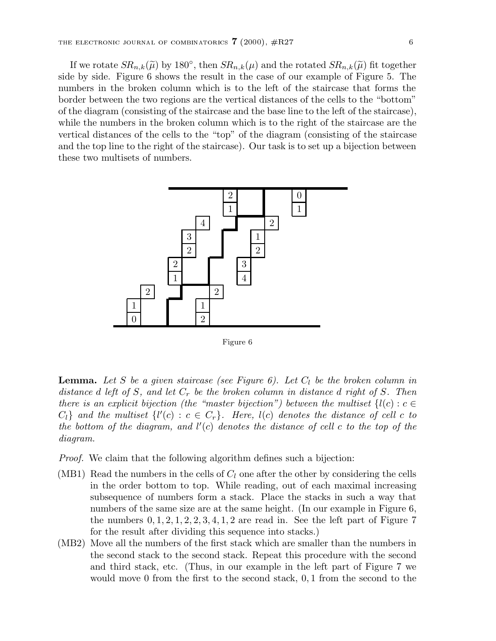If we rotate  $SR_{n,k}(\tilde{\mu})$  by 180°, then  $SR_{n,k}(\mu)$  and the rotated  $SR_{n,k}(\tilde{\mu})$  fit together side by side. Figure 6 shows the result in the case of our example of Figure 5. The numbers in the broken column which is to the left of the staircase that forms the border between the two regions are the vertical distances of the cells to the "bottom" of the diagram (consisting of the staircase and the base line to the left of the staircase), while the numbers in the broken column which is to the right of the staircase are the vertical distances of the cells to the "top" of the diagram (consisting of the staircase and the top line to the right of the staircase). Our task is to set up a bijection between these two multisets of numbers.



Figure 6

**Lemma.** Let S be a given staircase (see Figure 6). Let  $C_l$  be the broken column in distance d left of S, and let  $C_r$  be the broken column in distance d right of S. Then there is an explicit bijection (the "master bijection") between the multiset  $\{l(c): c \in$  $C_l$ } and the multiset  $\{l'(c): c \in C_r\}$ . Here,  $l(c)$  denotes the distance of cell c to the bottom of the diagram, and  $l'(c)$  denotes the distance of cell c to the top of the diagram.

Proof. We claim that the following algorithm defines such a bijection:

- (MB1) Read the numbers in the cells of  $C_l$  one after the other by considering the cells in the order bottom to top. While reading, out of each maximal increasing subsequence of numbers form a stack. Place the stacks in such a way that numbers of the same size are at the same height. (In our example in Figure 6, the numbers  $0, 1, 2, 1, 2, 2, 3, 4, 1, 2$  are read in. See the left part of Figure 7 for the result after dividing this sequence into stacks.)
- (MB2) Move all the numbers of the first stack which are smaller than the numbers in the second stack to the second stack. Repeat this procedure with the second and third stack, etc. (Thus, in our example in the left part of Figure 7 we would move 0 from the first to the second stack, 0, 1 from the second to the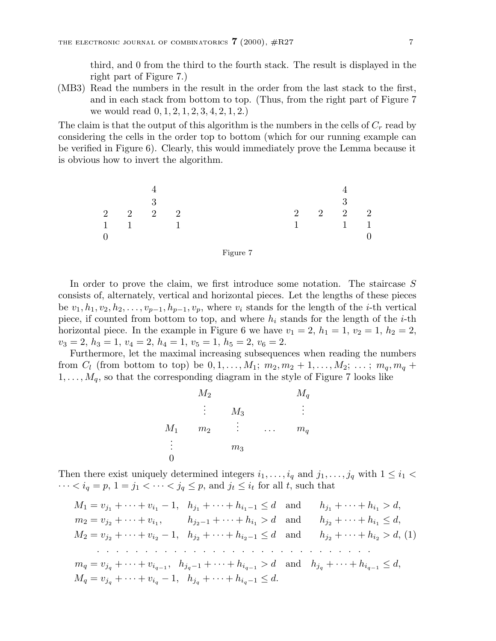third, and 0 from the third to the fourth stack. The result is displayed in the right part of Figure 7.)

(MB3) Read the numbers in the result in the order from the last stack to the first, and in each stack from bottom to top. (Thus, from the right part of Figure 7 we would read 0, 1, 2, 1, 2, 3, 4, 2, 1, 2.)

The claim is that the output of this algorithm is the numbers in the cells of  $C_r$  read by considering the cells in the order top to bottom (which for our running example can be verified in Figure 6). Clearly, this would immediately prove the Lemma because it is obvious how to invert the algorithm.

4 3 2222 11 1 0 4 3 2222 1 11 0



In order to prove the claim, we first introduce some notation. The staircase S consists of, alternately, vertical and horizontal pieces. Let the lengths of these pieces be  $v_1, h_1, v_2, h_2, \ldots, v_{p-1}, h_{p-1}, v_p$ , where  $v_i$  stands for the length of the *i*-th vertical piece, if counted from bottom to top, and where  $h_i$  stands for the length of the *i*-th horizontal piece. In the example in Figure 6 we have  $v_1 = 2$ ,  $h_1 = 1$ ,  $v_2 = 1$ ,  $h_2 = 2$ ,  $v_3 = 2, h_3 = 1, v_4 = 2, h_4 = 1, v_5 = 1, h_5 = 2, v_6 = 2.$ 

Furthermore, let the maximal increasing subsequences when reading the numbers from  $C_l$  (from bottom to top) be  $0, 1, ..., M_1; m_2, m_2 + 1, ..., M_2; ...; m_q, m_q +$  $1,\ldots,M_q$ , so that the corresponding diagram in the style of Figure 7 looks like

$$
M_2 \t\t M_3 \t\t M_4
$$
  
\n
$$
\vdots \t M_3 \t\t \vdots
$$
  
\n
$$
M_1 \t m_2 \t\t \vdots \t\t \ldots \t m_q
$$
  
\n
$$
\vdots \t m_3
$$

Then there exist uniquely determined integers  $i_1,\ldots,i_q$  and  $j_1,\ldots,j_q$  with  $1 \leq i_1$  $\cdots < i_q = p, 1 = j_1 < \cdots < j_q \le p$ , and  $j_t \le i_t$  for all t, such that

 $M_1 = v_{j_1} + \cdots + v_{i_1} - 1$ ,  $h_{j_1} + \cdots + h_{i_1-1} \le d$  and  $h_{j_1} + \cdots + h_{i_1} > d$ ,  $m_2 = v_{j_2} + \cdots + v_{i_1},$   $h_{j_2-1} + \cdots + h_{i_1} > d$  and  $h_{j_2} + \cdots + h_{i_1} \leq d$ ,  $M_2 = v_{i_2} + \cdots + v_{i_2} - 1$ ,  $h_{i_2} + \cdots + h_{i_2-1} \leq d$  and  $h_{i_2} + \cdots + h_{i_2} > d$ , (1) .............................  $m_q = v_{j_q} + \cdots + v_{i_{q-1}}, \quad h_{j_q-1} + \cdots + h_{i_{q-1}} > d \quad \text{and} \quad h_{j_q} + \cdots + h_{i_{q-1}} \leq d,$  $M_q = v_{j_q} + \cdots + v_{i_q} - 1$ ,  $h_{j_q} + \cdots + h_{i_q-1} \leq d$ .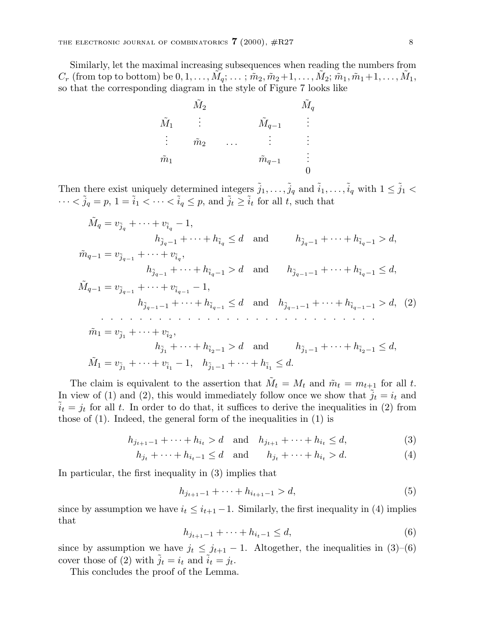Similarly, let the maximal increasing subsequences when reading the numbers from  $C_r$  (from top to bottom) be  $0, 1, \ldots, \tilde{M}_q; \ldots; \tilde{m}_2, \tilde{m}_2+1, \ldots, \tilde{M}_2; \tilde{m}_1, \tilde{m}_1+1, \ldots, \tilde{M}_1$ , so that the corresponding diagram in the style of Figure 7 looks like

|                | $\tilde{M}_2$  |   |                   | $\tilde{M}_q$ |
|----------------|----------------|---|-------------------|---------------|
| $\tilde{M}_1$  | $\ddot{\cdot}$ |   | $M_{q-1}$         | $\vdots$      |
| $\ddot{\cdot}$ | $\tilde{m}_2$  | . |                   | $\bullet$     |
| $\tilde{m}_1$  |                |   | $\tilde{m}_{q-1}$ | $\bullet$     |
|                |                |   |                   |               |

Then there exist uniquely determined integers  $\tilde{j}_1,\ldots,\tilde{j}_q$  and  $\tilde{i}_1,\ldots,\tilde{i}_q$  with  $1 \leq \tilde{j}_1$  <  $\cdots < \tilde{j}_q = p, 1 = \tilde{i}_1 < \cdots < \tilde{i}_q \leq p$ , and  $\tilde{j}_t \geq \tilde{i}_t$  for all t, such that

$$
\tilde{M}_q = v_{\tilde{j}_q} + \dots + v_{\tilde{i}_q} - 1,
$$
\n
$$
h_{\tilde{j}_{q-1}} + \dots + h_{\tilde{i}_q} \le d \quad \text{and} \quad h_{\tilde{j}_{q-1}} + \dots + h_{\tilde{i}_{q-1}} > d,
$$
\n
$$
\tilde{m}_{q-1} = v_{\tilde{j}_{q-1}} + \dots + v_{\tilde{i}_q},
$$
\n
$$
h_{\tilde{j}_{q-1}} + \dots + h_{\tilde{i}_{q-1}} > d \quad \text{and} \quad h_{\tilde{j}_{q-1}-1} + \dots + h_{\tilde{i}_{q-1}} \le d,
$$
\n
$$
\tilde{M}_{q-1} = v_{\tilde{j}_{q-1}} + \dots + v_{\tilde{i}_{q-1}} - 1,
$$
\n
$$
h_{\tilde{j}_{q-1}-1} + \dots + h_{\tilde{i}_{q-1}} \le d \quad \text{and} \quad h_{\tilde{j}_{q-1}-1} + \dots + h_{\tilde{i}_{q-1}-1} > d,
$$
\n
$$
\tilde{m}_1 = v_{\tilde{j}_1} + \dots + v_{\tilde{i}_2},
$$
\n
$$
h_{\tilde{j}_1} + \dots + h_{\tilde{i}_{2}-1} > d \quad \text{and} \quad h_{\tilde{j}_{1}-1} + \dots + h_{\tilde{i}_{2}-1} \le d,
$$
\n
$$
\tilde{M}_1 = v_{\tilde{j}_1} + \dots + v_{\tilde{i}_1} - 1, \quad h_{\tilde{j}_{1}-1} + \dots + h_{\tilde{i}_1} \le d.
$$

The claim is equivalent to the assertion that  $\tilde{M}_t = M_t$  and  $\tilde{m}_t = m_{t+1}$  for all t. In view of (1) and (2), this would immediately follow once we show that  $j_t = i_t$  and  $\tilde{i}_t = j_t$  for all t. In order to do that, it suffices to derive the inequalities in (2) from those of  $(1)$ . Indeed, the general form of the inequalities in  $(1)$  is

$$
h_{j_{t+1}-1} + \dots + h_{i_t} > d \quad \text{and} \quad h_{j_{t+1}} + \dots + h_{i_t} \le d,\tag{3}
$$

$$
h_{j_t} + \dots + h_{i_t-1} \le d
$$
 and  $h_{j_t} + \dots + h_{i_t} > d.$  (4)

In particular, the first inequality in (3) implies that

$$
h_{j_{t+1}-1} + \dots + h_{i_{t+1}-1} > d,\tag{5}
$$

since by assumption we have  $i_t \leq i_{t+1} - 1$ . Similarly, the first inequality in (4) implies that

$$
h_{j_{t+1}-1} + \dots + h_{i_t-1} \le d,\tag{6}
$$

since by assumption we have  $j_t \leq j_{t+1} - 1$ . Altogether, the inequalities in (3)–(6) cover those of (2) with  $j_t = i_t$  and  $i_t = j_t$ .

This concludes the proof of the Lemma.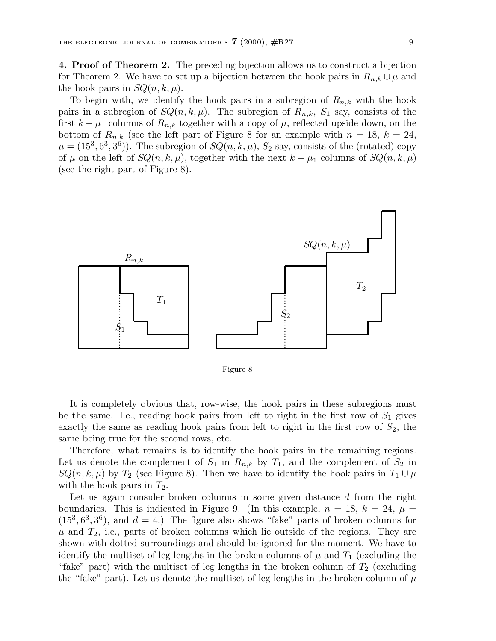**4. Proof of Theorem 2.** The preceding bijection allows us to construct a bijection for Theorem 2. We have to set up a bijection between the hook pairs in  $R_{n,k} \cup \mu$  and the hook pairs in  $SQ(n, k, \mu)$ .

To begin with, we identify the hook pairs in a subregion of  $R_{n,k}$  with the hook pairs in a subregion of  $SQ(n, k, \mu)$ . The subregion of  $R_{n,k}$ ,  $S_1$  say, consists of the first  $k - \mu_1$  columns of  $R_{n,k}$  together with a copy of  $\mu$ , reflected upside down, on the bottom of  $R_{n,k}$  (see the left part of Figure 8 for an example with  $n = 18$ ,  $k = 24$ ,  $\mu = (15^3, 6^3, 3^6)$ . The subregion of  $SQ(n, k, \mu)$ ,  $S_2$  say, consists of the (rotated) copy of  $\mu$  on the left of  $SQ(n, k, \mu)$ , together with the next  $k - \mu_1$  columns of  $SQ(n, k, \mu)$ (see the right part of Figure 8).



Figure 8

It is completely obvious that, row-wise, the hook pairs in these subregions must be the same. I.e., reading hook pairs from left to right in the first row of  $S_1$  gives exactly the same as reading hook pairs from left to right in the first row of  $S_2$ , the same being true for the second rows, etc.

Therefore, what remains is to identify the hook pairs in the remaining regions. Let us denote the complement of  $S_1$  in  $R_{n,k}$  by  $T_1$ , and the complement of  $S_2$  in  $SQ(n, k, \mu)$  by  $T_2$  (see Figure 8). Then we have to identify the hook pairs in  $T_1 \cup \mu$ with the hook pairs in  $T_2$ .

Let us again consider broken columns in some given distance d from the right boundaries. This is indicated in Figure 9. (In this example,  $n = 18$ ,  $k = 24$ ,  $\mu =$  $(15^3, 6^3, 3^6)$ , and  $d = 4$ .) The figure also shows "fake" parts of broken columns for  $\mu$  and  $T_2$ , i.e., parts of broken columns which lie outside of the regions. They are shown with dotted surroundings and should be ignored for the moment. We have to identify the multiset of leg lengths in the broken columns of  $\mu$  and  $T_1$  (excluding the "fake" part) with the multiset of leg lengths in the broken column of  $T_2$  (excluding the "fake" part). Let us denote the multiset of leg lengths in the broken column of  $\mu$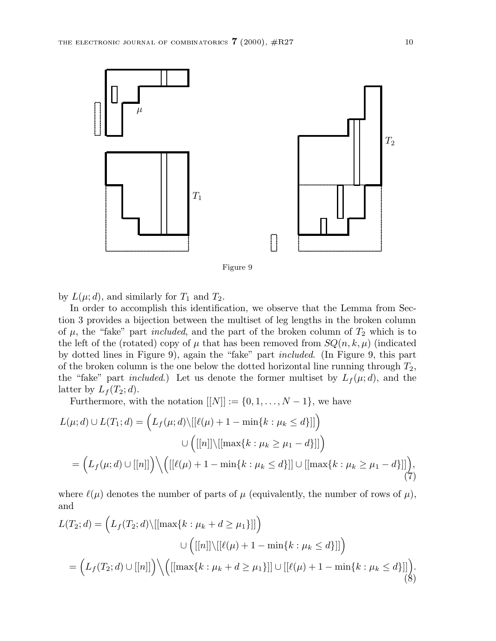

Figure 9

by  $L(\mu; d)$ , and similarly for  $T_1$  and  $T_2$ .

In order to accomplish this identification, we observe that the Lemma from Section 3 provides a bijection between the multiset of leg lengths in the broken column of  $\mu$ , the "fake" part *included*, and the part of the broken column of  $T_2$  which is to the left of the (rotated) copy of  $\mu$  that has been removed from  $SQ(n, k, \mu)$  (indicated by dotted lines in Figure 9), again the "fake" part included. (In Figure 9, this part of the broken column is the one below the dotted horizontal line running through  $T_2$ , the "fake" part *included*.) Let us denote the former multiset by  $L_f(\mu; d)$ , and the latter by  $L_f(T_2; d)$ .

Furthermore, with the notation  $[[N]] := \{0, 1, \ldots, N - 1\}$ , we have

$$
L(\mu;d) \cup L(T_1;d) = \left( L_f(\mu;d) \setminus [[\ell(\mu) + 1 - \min\{k : \mu_k \le d\}]] \right)
$$

$$
\cup \left( [[n]] \setminus [[\max\{k : \mu_k \ge \mu_1 - d\}]] \right)
$$

$$
= \left( L_f(\mu;d) \cup [[n]] \right) \setminus \left( [[\ell(\mu) + 1 - \min\{k : \mu_k \le d\}]] \cup [[\max\{k : \mu_k \ge \mu_1 - d\}]] \right), \tag{7}
$$

where  $\ell(\mu)$  denotes the number of parts of  $\mu$  (equivalently, the number of rows of  $\mu$ ), and

$$
L(T_2; d) = \left( L_f(T_2; d) \setminus [[\max\{k : \mu_k + d \ge \mu_1\}]] \right)
$$
  

$$
\cup \left( [[n]] \setminus [[\ell(\mu) + 1 - \min\{k : \mu_k \le d\}]] \right)
$$
  

$$
= \left( L_f(T_2; d) \cup [[n]] \right) \setminus \left( [[\max\{k : \mu_k + d \ge \mu_1\}]] \cup [[\ell(\mu) + 1 - \min\{k : \mu_k \le d\}]] \right). \tag{8}
$$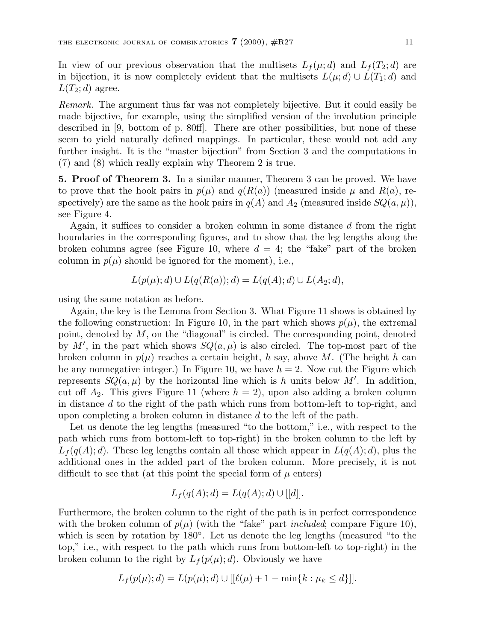In view of our previous observation that the multisets  $L_f(\mu; d)$  and  $L_f(T_2; d)$  are in bijection, it is now completely evident that the multisets  $L(\mu; d) \cup L(T_1; d)$  and  $L(T_2; d)$  agree.

Remark. The argument thus far was not completely bijective. But it could easily be made bijective, for example, using the simplified version of the involution principle described in [9, bottom of p. 80ff]. There are other possibilities, but none of these seem to yield naturally defined mappings. In particular, these would not add any further insight. It is the "master bijection" from Section 3 and the computations in (7) and (8) which really explain why Theorem 2 is true.

**5. Proof of Theorem 3.** In a similar manner, Theorem 3 can be proved. We have to prove that the hook pairs in  $p(\mu)$  and  $q(R(a))$  (measured inside  $\mu$  and  $R(a)$ , respectively) are the same as the hook pairs in  $q(A)$  and  $A_2$  (measured inside  $SQ(a, \mu)$ ), see Figure 4.

Again, it suffices to consider a broken column in some distance  $d$  from the right boundaries in the corresponding figures, and to show that the leg lengths along the broken columns agree (see Figure 10, where  $d = 4$ ; the "fake" part of the broken column in  $p(\mu)$  should be ignored for the moment), i.e.,

$$
L(p(\mu); d) \cup L(q(R(a)); d) = L(q(A); d) \cup L(A_2; d),
$$

using the same notation as before.

Again, the key is the Lemma from Section 3. What Figure 11 shows is obtained by the following construction: In Figure 10, in the part which shows  $p(\mu)$ , the extremal point, denoted by  $M$ , on the "diagonal" is circled. The corresponding point, denoted by M', in the part which shows  $SQ(a, \mu)$  is also circled. The top-most part of the broken column in  $p(\mu)$  reaches a certain height, h say, above M. (The height h can be any nonnegative integer.) In Figure 10, we have  $h = 2$ . Now cut the Figure which represents  $SQ(a,\mu)$  by the horizontal line which is h units below M'. In addition, cut off  $A_2$ . This gives Figure 11 (where  $h = 2$ ), upon also adding a broken column in distance  $d$  to the right of the path which runs from bottom-left to top-right, and upon completing a broken column in distance  $d$  to the left of the path.

Let us denote the leg lengths (measured "to the bottom," i.e., with respect to the path which runs from bottom-left to top-right) in the broken column to the left by  $L_f(q(A); d)$ . These leg lengths contain all those which appear in  $L(q(A); d)$ , plus the additional ones in the added part of the broken column. More precisely, it is not difficult to see that (at this point the special form of  $\mu$  enters)

$$
L_f(q(A);d) = L(q(A);d) \cup [[d]].
$$

Furthermore, the broken column to the right of the path is in perfect correspondence with the broken column of  $p(\mu)$  (with the "fake" part *included*; compare Figure 10), which is seen by rotation by 180◦. Let us denote the leg lengths (measured "to the top," i.e., with respect to the path which runs from bottom-left to top-right) in the broken column to the right by  $L_f(p(\mu); d)$ . Obviously we have

$$
L_f(p(\mu);d) = L(p(\mu);d) \cup [[\ell(\mu) + 1 - \min\{k : \mu_k \leq d\}]].
$$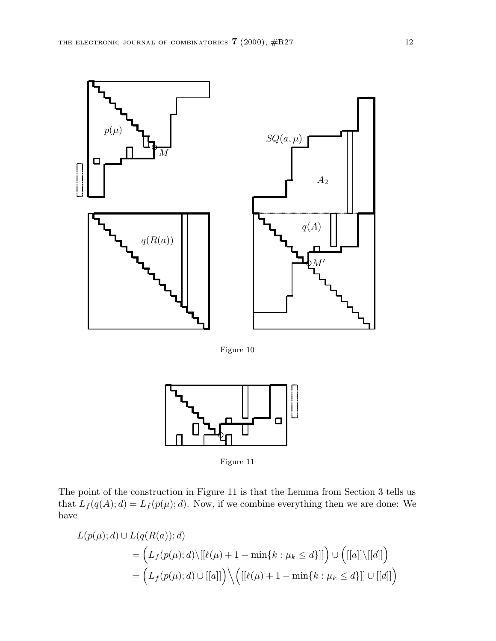

Figure 10



Figure 11

The point of the construction in Figure 11 is that the Lemma from Section 3 tells us that  $L_f(q(A); d) = L_f(p(\mu); d)$ . Now, if we combine everything then we are done: We have

$$
L(p(\mu); d) \cup L(q(R(a)); d)
$$
  
= 
$$
\left( L_f(p(\mu); d) \setminus [[\ell(\mu) + 1 - \min\{k : \mu_k \le d\}]] \right) \cup \left( [[a]] \setminus [[d]] \right)
$$
  
= 
$$
\left( L_f(p(\mu); d) \cup [[a]] \right) \setminus \left( [[\ell(\mu) + 1 - \min\{k : \mu_k \le d\}]] \cup [[d]] \right)
$$